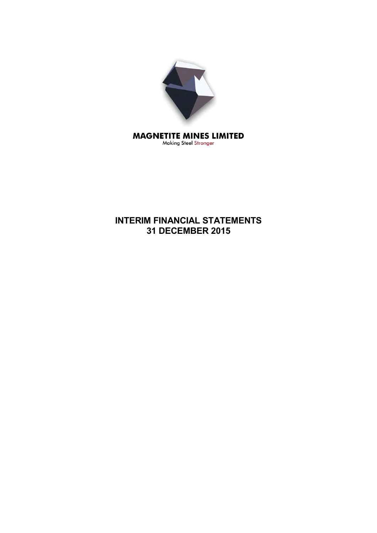

# **INTERIM FINANCIAL STATEMENTS 31 DECEMBER 2015**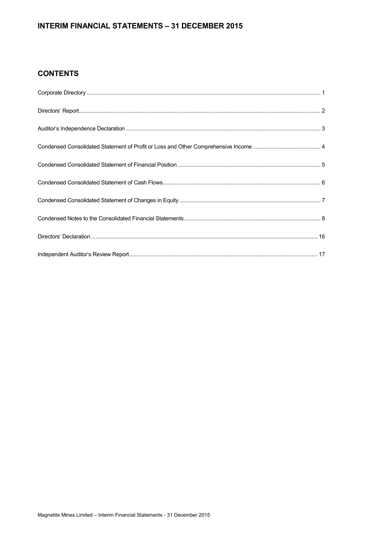# **INTERIM FINANCIAL STATEMENTS – 31 DECEMBER 2015**

# **CONTENTS**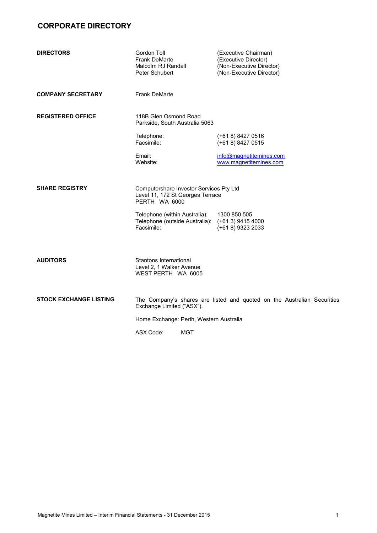# **CORPORATE DIRECTORY**

| <b>DIRECTORS</b>              | Gordon Toll<br><b>Frank DeMarte</b><br>Malcolm RJ Randall<br>Peter Schubert                  | (Executive Chairman)<br>(Executive Director)<br>(Non-Executive Director)<br>(Non-Executive Director) |
|-------------------------------|----------------------------------------------------------------------------------------------|------------------------------------------------------------------------------------------------------|
| <b>COMPANY SECRETARY</b>      | <b>Frank DeMarte</b>                                                                         |                                                                                                      |
| <b>REGISTERED OFFICE</b>      | 118B Glen Osmond Road<br>Parkside, South Australia 5063                                      |                                                                                                      |
|                               | Telephone:<br>Facsimile:                                                                     | $(+618)84270516$<br>$(+618)84270515$                                                                 |
|                               | Email:<br>Website:                                                                           | info@magnetitemines.com<br>www.magnetitemines.com                                                    |
| <b>SHARE REGISTRY</b>         | Computershare Investor Services Pty Ltd<br>Level 11, 172 St Georges Terrace<br>PERTH WA 6000 |                                                                                                      |
|                               | Telephone (within Australia):<br>Telephone (outside Australia):<br>Facsimile:                | 1300 850 505<br>$(+613)$ 9415 4000<br>(+61 8) 9323 2033                                              |
| <b>AUDITORS</b>               | Stantons International<br>Level 2, 1 Walker Avenue<br>WEST PERTH WA 6005                     |                                                                                                      |
| <b>STOCK EXCHANGE LISTING</b> | Exchange Limited ("ASX").                                                                    | The Company's shares are listed and quoted on the Australian Securities                              |
|                               | Home Exchange: Perth, Western Australia                                                      |                                                                                                      |

ASX Code: MGT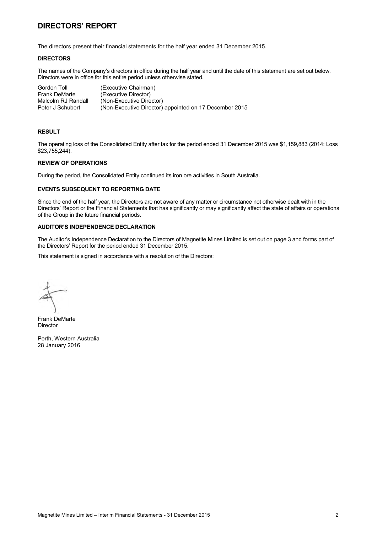# **DIRECTORS' REPORT**

The directors present their financial statements for the half year ended 31 December 2015.

### **DIRECTORS**

The names of the Company's directors in office during the half year and until the date of this statement are set out below. Directors were in office for this entire period unless otherwise stated.

| Gordon Toll          | (Executive Chairman)                                   |
|----------------------|--------------------------------------------------------|
| <b>Frank DeMarte</b> | (Executive Director)                                   |
| Malcolm RJ Randall   | (Non-Executive Director)                               |
| Peter J Schubert     | (Non-Executive Director) appointed on 17 December 2015 |

#### **RESULT**

The operating loss of the Consolidated Entity after tax for the period ended 31 December 2015 was \$1,159,883 (2014: Loss \$23,755,244).

## **REVIEW OF OPERATIONS**

During the period, the Consolidated Entity continued its iron ore activities in South Australia.

### **EVENTS SUBSEQUENT TO REPORTING DATE**

Since the end of the half year, the Directors are not aware of any matter or circumstance not otherwise dealt with in the Directors' Report or the Financial Statements that has significantly or may significantly affect the state of affairs or operations of the Group in the future financial periods.

# **AUDITOR'S INDEPENDENCE DECLARATION**

The Auditor's Independence Declaration to the Directors of Magnetite Mines Limited is set out on page 3 and forms part of the Directors' Report for the period ended 31 December 2015.

This statement is signed in accordance with a resolution of the Directors:

Frank DeMarte Director

Perth, Western Australia 28 January 2016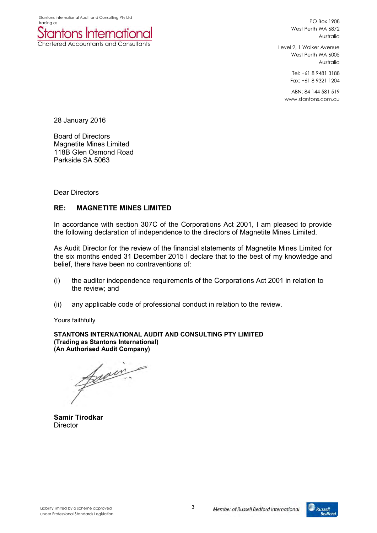

PO Box 1908 West Perth WA 6872 Australia

Level 2, 1 Walker Avenue West Perth WA 6005 Australia

> Tel: +61 8 9481 3188 Fax: +61 8 9321 1204

ABN: 84 144 581 519 www.stantons.com.au

28 January 2016

Board of Directors Magnetite Mines Limited 118B Glen Osmond Road Parkside SA 5063

Dear Directors

# **RE: MAGNETITE MINES LIMITED**

In accordance with section 307C of the Corporations Act 2001, I am pleased to provide the following declaration of independence to the directors of Magnetite Mines Limited.

As Audit Director for the review of the financial statements of Magnetite Mines Limited for the six months ended 31 December 2015 I declare that to the best of my knowledge and belief, there have been no contraventions of:

- (i) the auditor independence requirements of the Corporations Act 2001 in relation to the review; and
- (ii) any applicable code of professional conduct in relation to the review.

Yours faithfully

**STANTONS INTERNATIONAL AUDIT AND CONSULTING PTY LIMITED (Trading as Stantons International) (An Authorised Audit Company)** 

famin.

**Samir Tirodkar Director** 

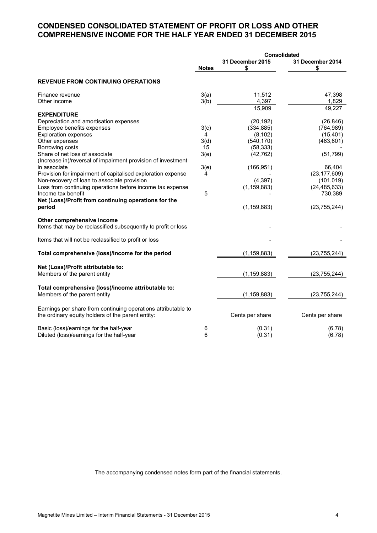# **CONDENSED CONSOLIDATED STATEMENT OF PROFIT OR LOSS AND OTHER COMPREHENSIVE INCOME FOR THE HALF YEAR ENDED 31 DECEMBER 2015**

|                                                                                                                    | <b>Consolidated</b> |                               |                        |  |
|--------------------------------------------------------------------------------------------------------------------|---------------------|-------------------------------|------------------------|--|
|                                                                                                                    | <b>Notes</b>        | <b>31 December 2015</b><br>\$ | 31 December 2014<br>\$ |  |
| <b>REVENUE FROM CONTINUING OPERATIONS</b>                                                                          |                     |                               |                        |  |
| Finance revenue<br>Other income                                                                                    | 3(a)<br>3(b)        | 11,512<br>4,397               | 47,398<br>1,829        |  |
|                                                                                                                    |                     | 15,909                        | 49,227                 |  |
| <b>EXPENDITURE</b>                                                                                                 |                     |                               |                        |  |
| Depreciation and amortisation expenses                                                                             |                     | (20, 192)                     | (26, 846)              |  |
| Employee benefits expenses                                                                                         | 3(c)                | (334, 885)                    | (764, 989)             |  |
| <b>Exploration expenses</b>                                                                                        | 4                   | (8, 102)                      | (15, 401)              |  |
| Other expenses                                                                                                     | 3(d)                | (540, 170)                    | (463, 601)             |  |
| Borrowing costs                                                                                                    | 15                  | (58, 333)                     |                        |  |
| Share of net loss of associate                                                                                     | 3(e)                | (42, 762)                     | (51, 799)              |  |
| (Increase in)/reversal of impairment provision of investment                                                       |                     |                               |                        |  |
| in associate                                                                                                       | 3(e)                | (166, 951)                    | 66,404                 |  |
| Provision for impairment of capitalised exploration expense                                                        | 4                   |                               | (23, 177, 609)         |  |
| Non-recovery of loan to associate provision                                                                        |                     | (4, 397)                      | (101, 019)             |  |
| Loss from continuing operations before income tax expense                                                          |                     | (1, 159, 883)                 | (24, 485, 633)         |  |
| Income tax benefit                                                                                                 | 5                   |                               | 730,389                |  |
| Net (Loss)/Profit from continuing operations for the<br>period                                                     |                     | (1, 159, 883)                 | (23, 755, 244)         |  |
| Other comprehensive income<br>Items that may be reclassified subsequently to profit or loss                        |                     |                               |                        |  |
| Items that will not be reclassified to profit or loss                                                              |                     |                               |                        |  |
| Total comprehensive (loss)/income for the period                                                                   |                     | (1, 159, 883)                 | (23, 755, 244)         |  |
|                                                                                                                    |                     |                               |                        |  |
| Net (Loss)/Profit attributable to:<br>Members of the parent entity                                                 |                     | (1, 159, 883)                 | (23, 755, 244)         |  |
| Total comprehensive (loss)/income attributable to:                                                                 |                     |                               |                        |  |
| Members of the parent entity                                                                                       |                     | (1, 159, 883)                 | (23, 755, 244)         |  |
| Earnings per share from continuing operations attributable to<br>the ordinary equity holders of the parent entity: |                     | Cents per share               | Cents per share        |  |
| Basic (loss)/earnings for the half-year                                                                            | 6                   | (0.31)                        | (6.78)                 |  |
| Diluted (loss)/earnings for the half-year                                                                          | 6                   | (0.31)                        | (6.78)                 |  |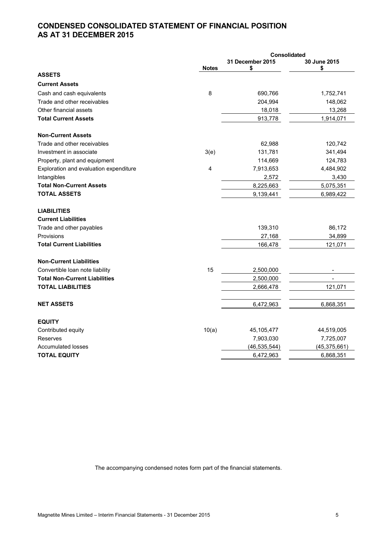# **CONDENSED CONSOLIDATED STATEMENT OF FINANCIAL POSITION AS AT 31 DECEMBER 2015**

|                                        |              | Consolidated           |                   |
|----------------------------------------|--------------|------------------------|-------------------|
|                                        | <b>Notes</b> | 31 December 2015<br>\$ | 30 June 2015<br>S |
| <b>ASSETS</b>                          |              |                        |                   |
| <b>Current Assets</b>                  |              |                        |                   |
| Cash and cash equivalents              | 8            | 690,766                | 1,752,741         |
| Trade and other receivables            |              | 204,994                | 148,062           |
| Other financial assets                 |              | 18,018                 | 13,268            |
| <b>Total Current Assets</b>            |              | 913,778                | 1,914,071         |
| <b>Non-Current Assets</b>              |              |                        |                   |
| Trade and other receivables            |              | 62,988                 | 120,742           |
| Investment in associate                | 3(e)         | 131,781                | 341,494           |
| Property, plant and equipment          |              | 114,669                | 124,783           |
| Exploration and evaluation expenditure | 4            | 7,913,653              | 4,484,902         |
| Intangibles                            |              | 2,572                  | 3,430             |
| <b>Total Non-Current Assets</b>        |              | 8,225,663              | 5,075,351         |
| <b>TOTAL ASSETS</b>                    |              | 9,139,441              | 6,989,422         |
| <b>LIABILITIES</b>                     |              |                        |                   |
| <b>Current Liabilities</b>             |              |                        |                   |
| Trade and other payables               |              | 139,310                | 86,172            |
| Provisions                             |              | 27,168                 | 34,899            |
| <b>Total Current Liabilities</b>       |              | 166,478                | 121,071           |
| <b>Non-Current Liabilities</b>         |              |                        |                   |
| Convertible loan note liability        | 15           | 2,500,000              |                   |
| <b>Total Non-Current Liabilities</b>   |              | 2,500,000              |                   |
| <b>TOTAL LIABILITIES</b>               |              | 2,666,478              | 121,071           |
| <b>NET ASSETS</b>                      |              | 6,472,963              | 6,868,351         |
|                                        |              |                        |                   |
| <b>EQUITY</b>                          |              |                        |                   |
| Contributed equity                     | 10(a)        | 45,105,477             | 44,519,005        |
| Reserves                               |              | 7,903,030              | 7,725,007         |
| <b>Accumulated losses</b>              |              | (46, 535, 544)         | (45, 375, 661)    |
| <b>TOTAL EQUITY</b>                    |              | 6,472,963              | 6,868,351         |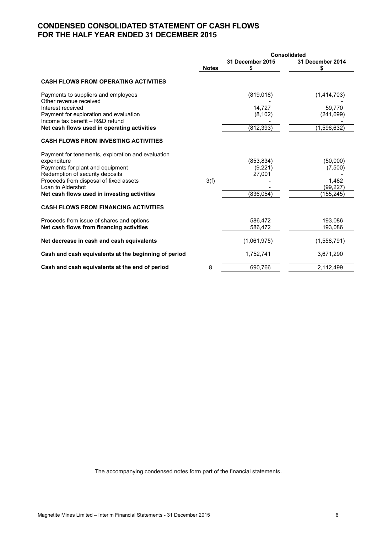# **CONDENSED CONSOLIDATED STATEMENT OF CASH FLOWS FOR THE HALF YEAR ENDED 31 DECEMBER 2015**

|                                                                           | <b>Consolidated</b> |                        |                       |
|---------------------------------------------------------------------------|---------------------|------------------------|-----------------------|
|                                                                           | <b>Notes</b>        | 31 December 2015<br>\$ | 31 December 2014<br>S |
| <b>CASH FLOWS FROM OPERATING ACTIVITIES</b>                               |                     |                        |                       |
| Payments to suppliers and employees<br>Other revenue received             |                     | (819, 018)             | (1,414,703)           |
| Interest received                                                         |                     | 14,727                 | 59,770                |
| Payment for exploration and evaluation<br>Income tax benefit - R&D refund |                     | (8, 102)               | (241, 699)            |
| Net cash flows used in operating activities                               |                     | (812, 393)             | (1,596,632)           |
| <b>CASH FLOWS FROM INVESTING ACTIVITIES</b>                               |                     |                        |                       |
| Payment for tenements, exploration and evaluation                         |                     |                        |                       |
| expenditure<br>Payments for plant and equipment                           |                     | (853, 834)<br>(9,221)  | (50,000)<br>(7,500)   |
| Redemption of security deposits                                           |                     | 27,001                 |                       |
| Proceeds from disposal of fixed assets                                    | 3(f)                |                        | 1,482                 |
| Loan to Aldershot                                                         |                     |                        | (99, 227)             |
| Net cash flows used in investing activities                               |                     | (836, 054)             | (155, 245)            |
| <b>CASH FLOWS FROM FINANCING ACTIVITIES</b>                               |                     |                        |                       |
| Proceeds from issue of shares and options                                 |                     | 586,472                | 193,086               |
| Net cash flows from financing activities                                  |                     | 586,472                | 193,086               |
| Net decrease in cash and cash equivalents                                 |                     | (1,061,975)            | (1,558,791)           |
| Cash and cash equivalents at the beginning of period                      |                     | 1,752,741              | 3,671,290             |
| Cash and cash equivalents at the end of period                            | 8                   | 690,766                | 2,112,499             |
|                                                                           |                     |                        |                       |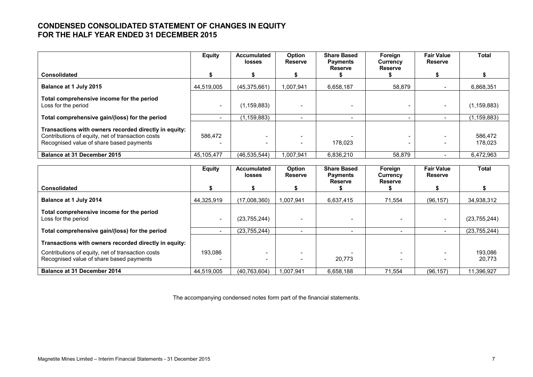# **CONDENSED CONSOLIDATED STATEMENT OF CHANGES IN EQUITY FOR THE HALF YEAR ENDED 31 DECEMBER 2015**

|                                                                                                                                                        | <b>Equity</b> | <b>Accumulated</b><br><b>losses</b> | Option<br><b>Reserve</b> | <b>Share Based</b><br><b>Payments</b><br><b>Reserve</b> | Foreign<br>Currency<br><b>Reserve</b> | <b>Fair Value</b><br>Reserve | Total              |
|--------------------------------------------------------------------------------------------------------------------------------------------------------|---------------|-------------------------------------|--------------------------|---------------------------------------------------------|---------------------------------------|------------------------------|--------------------|
| <b>Consolidated</b>                                                                                                                                    |               |                                     |                          |                                                         |                                       |                              |                    |
| Balance at 1 July 2015                                                                                                                                 | 44.519.005    | (45,375,661)                        | 1.007.941                | 6.658.187                                               | 58.879                                |                              | 6,868,351          |
| Total comprehensive income for the period<br>Loss for the period                                                                                       |               | (1, 159, 883)                       |                          |                                                         |                                       |                              | (1, 159, 883)      |
| Total comprehensive gain/(loss) for the period                                                                                                         |               | (1.159.883)                         |                          |                                                         |                                       |                              | (1, 159, 883)      |
| Transactions with owners recorded directly in equity:<br>Contributions of equity, net of transaction costs<br>Recognised value of share based payments | 586,472       | -                                   |                          | 178.023                                                 |                                       |                              | 586,472<br>178,023 |
| <b>Balance at 31 December 2015</b>                                                                                                                     | 45.105.477    | (46.535.544)                        | 1.007.941                | 6.836.210                                               | 58.879                                |                              | 6.472.963          |

|                                                                                               | <b>Equity</b> | <b>Accumulated</b><br>losses | Option<br><b>Reserve</b> | <b>Share Based</b><br><b>Payments</b> | Foreign<br>Currency      | <b>Fair Value</b><br><b>Reserve</b> | Total             |
|-----------------------------------------------------------------------------------------------|---------------|------------------------------|--------------------------|---------------------------------------|--------------------------|-------------------------------------|-------------------|
| <b>Consolidated</b>                                                                           |               |                              |                          | <b>Reserve</b>                        | <b>Reserve</b>           |                                     |                   |
| Balance at 1 July 2014                                                                        | 44,325,919    | (17,008,360)                 | 1,007,941                | 6,637,415                             | 71,554                   | (96, 157)                           | 34,938,312        |
| Total comprehensive income for the period<br>Loss for the period                              |               | (23, 755, 244)               |                          |                                       |                          |                                     | (23,755,244)      |
| Total comprehensive gain/(loss) for the period                                                |               | (23, 755, 244)               |                          | -                                     | $\overline{\phantom{a}}$ | $\overline{\phantom{0}}$            | (23, 755, 244)    |
| Transactions with owners recorded directly in equity:                                         |               |                              |                          |                                       |                          |                                     |                   |
| Contributions of equity, net of transaction costs<br>Recognised value of share based payments | 193.086       |                              |                          | 20.773                                |                          |                                     | 193,086<br>20,773 |
| <b>Balance at 31 December 2014</b>                                                            | 44.519.005    | (40.763.604)                 | 1.007.941                | 6,658,188                             | 71,554                   | (96, 157)                           | 11.396.927        |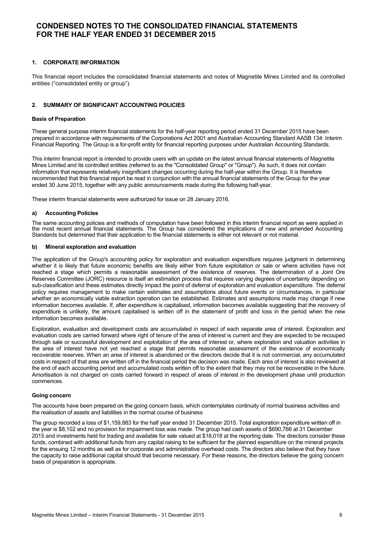### **1. CORPORATE INFORMATION**

This financial report includes the consolidated financial statements and notes of Magnetite Mines Limited and its controlled entities ("consolidated entity or group").

### **2. SUMMARY OF SIGNIFICANT ACCOUNTING POLICIES**

#### **Basis of Preparation**

These general purpose interim financial statements for the half-year reporting period ended 31 December 2015 have been prepared in accordance with requirements of the Corporations Act 2001 and Australian Accounting Standard AASB 134: Interim Financial Reporting. The Group is a for-profit entity for financial reporting purposes under Australian Accounting Standards.

This interim financial report is intended to provide users with an update on the latest annual financial statements of Magnetite Mines Limited and its controlled entities (referred to as the "Consolidated Group" or "Group"). As such, it does not contain information that represents relatively insignificant changes occurring during the half-year within the Group. It is therefore recommended that this financial report be read in conjunction with the annual financial statements of the Group for the year ended 30 June 2015, together with any public announcements made during the following half-year.

These interim financial statements were authorized for issue on 28 January 2016.

#### **a) Accounting Policies**

The same accounting policies and methods of computation have been followed in this interim financial report as were applied in the most recent annual financial statements. The Group has considered the implications of new and amended Accounting Standards but determined that their application to the financial statements is either not relevant or not material.

#### **b) Mineral exploration and evaluation**

The application of the Group's accounting policy for exploration and evaluation expenditure requires judgment in determining whether it is likely that future economic benefits are likely either from future exploitation or sale or where activities have not reached a stage which permits a reasonable assessment of the existence of reserves. The determination of a Joint Ore Reserves Committee (JORC) resource is itself an estimation process that requires varying degrees of uncertainty depending on sub-classification and these estimates directly impact the point of deferral of exploration and evaluation expenditure. The deferral policy requires management to make certain estimates and assumptions about future events or circumstances, in particular whether an economically viable extraction operation can be established. Estimates and assumptions made may change if new information becomes available. If, after expenditure is capitalised, information becomes available suggesting that the recovery of expenditure is unlikely, the amount capitalised is written off in the statement of profit and loss in the period when the new information becomes available.

Exploration, evaluation and development costs are accumulated in respect of each separate area of interest. Exploration and evaluation costs are carried forward where right of tenure of the area of interest is current and they are expected to be recouped through sale or successful development and exploitation of the area of interest or, where exploration and valuation activities in the area of interest have not yet reached a stage that permits reasonable assessment of the existence of economically recoverable reserves. When an area of interest is abandoned or the directors decide that it is not commercial, any accumulated costs in respect of that area are written off in the financial period the decision was made. Each area of interest is also reviewed at the end of each accounting period and accumulated costs written off to the extent that they may not be recoverable in the future. Amortisation is not charged on costs carried forward in respect of areas of interest in the development phase until production commences.

#### **Going concern**

The accounts have been prepared on the going concern basis, which contemplates continuity of normal business activities and the realisation of assets and liabilities in the normal course of business

The group recorded a loss of \$1,159,883 for the half year ended 31 December 2015. Total exploration expenditure written off in the year is \$8,102 and no provision for impairment loss was made. The group had cash assets of \$690,766 at 31 December 2015 and investments held for trading and available for sale valued at \$18,018 at the reporting date. The directors consider these funds, combined with additional funds from any capital raising to be sufficient for the planned expenditure on the mineral projects for the ensuing 12 months as well as for corporate and administrative overhead costs. The directors also believe that they have the capacity to raise additional capital should that become necessary. For these reasons, the directors believe the going concern basis of preparation is appropriate.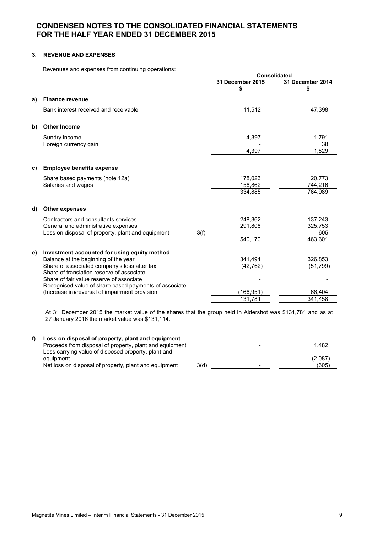# **3. REVENUE AND EXPENSES**

Revenues and expenses from continuing operations:

|    | Reveriges and expenses from continuing operations.                                                                                                  |      |                        | <b>Consolidated</b>       |
|----|-----------------------------------------------------------------------------------------------------------------------------------------------------|------|------------------------|---------------------------|
|    |                                                                                                                                                     |      | 31 December 2015<br>\$ | 31 December 2014<br>\$    |
| a) | <b>Finance revenue</b>                                                                                                                              |      |                        |                           |
|    | Bank interest received and receivable                                                                                                               |      | 11,512                 | 47,398                    |
| b) | <b>Other Income</b>                                                                                                                                 |      |                        |                           |
|    | Sundry income<br>Foreign currency gain                                                                                                              |      | 4,397                  | 1,791<br>38               |
|    |                                                                                                                                                     |      | 4,397                  | 1,829                     |
| C) | <b>Employee benefits expense</b>                                                                                                                    |      |                        |                           |
|    | Share based payments (note 12a)<br>Salaries and wages                                                                                               |      | 178,023<br>156,862     | 20,773<br>744,216         |
|    |                                                                                                                                                     |      | 334,885                | 764,989                   |
| d) | <b>Other expenses</b>                                                                                                                               |      |                        |                           |
|    | Contractors and consultants services<br>General and administrative expenses<br>Loss on disposal of property, plant and equipment                    | 3(f) | 248,362<br>291,808     | 137,243<br>325,753<br>605 |
|    |                                                                                                                                                     |      | 540,170                | 463,601                   |
| e) | Investment accounted for using equity method<br>Balance at the beginning of the year                                                                |      | 341,494                | 326,853                   |
|    | Share of associated company's loss after tax<br>Share of translation reserve of associate                                                           |      | (42, 762)              | (51, 799)                 |
|    | Share of fair value reserve of associate<br>Recognised value of share based payments of associate<br>(Increase in)/reversal of impairment provision |      | (166,951)              | 66,404                    |
|    |                                                                                                                                                     |      | 131,781                | 341,458                   |

At 31 December 2015 the market value of the shares that the group held in Aldershot was \$131,781 and as at 27 January 2016 the market value was \$131,114.

| Loss on disposal of property, plant and equipment<br>Proceeds from disposal of property, plant and equipment<br>Less carrying value of disposed property, plant and |      | 1.482   |
|---------------------------------------------------------------------------------------------------------------------------------------------------------------------|------|---------|
| equipment                                                                                                                                                           |      | (2.087) |
| Net loss on disposal of property, plant and equipment                                                                                                               | 3(d) | (605)   |
|                                                                                                                                                                     |      |         |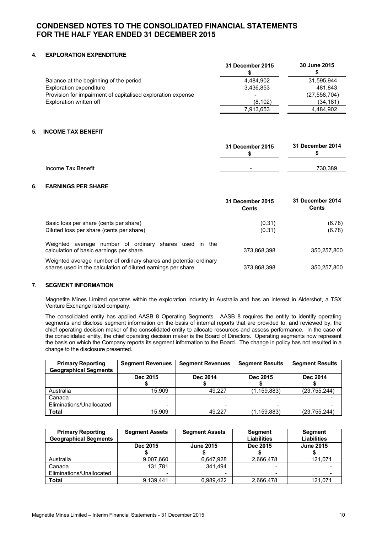# **4. EXPLORATION EXPENDITURE**

|                                                             | 31 December 2015 | 30 June 2015   |
|-------------------------------------------------------------|------------------|----------------|
| Balance at the beginning of the period                      | 4.484.902        | 31.595.944     |
| Exploration expenditure                                     | 3.436.853        | 481.843        |
| Provision for impairment of capitalised exploration expense |                  | (27, 558, 704) |
| Exploration written off                                     | (8, 102)         | (34, 181)      |
|                                                             | 7,913,653        | 4,484,902      |

### **5. INCOME TAX BENEFIT**

|                    | 31 December 2015         | 31 December 2014 |
|--------------------|--------------------------|------------------|
| Income Tax Benefit | $\overline{\phantom{a}}$ | 730.389          |

### **6. EARNINGS PER SHARE**

|                                                                                                                                   | 31 December 2015<br>Cents | 31 December 2014<br>Cents |
|-----------------------------------------------------------------------------------------------------------------------------------|---------------------------|---------------------------|
| Basic loss per share (cents per share)<br>Diluted loss per share (cents per share)                                                | (0.31)<br>(0.31)          | (6.78)<br>(6.78)          |
| Weighted average number of ordinary shares used in the<br>calculation of basic earnings per share                                 | 373,868,398               | 350.257.800               |
| Weighted average number of ordinary shares and potential ordinary<br>shares used in the calculation of diluted earnings per share | 373,868,398               | 350,257,800               |

# **7. SEGMENT INFORMATION**

Magnetite Mines Limited operates within the exploration industry in Australia and has an interest in Aldershot, a TSX Venture Exchange listed company.

The consolidated entity has applied AASB 8 Operating Segments. AASB 8 requires the entity to identify operating segments and disclose segment information on the basis of internal reports that are provided to, and reviewed by, the chief operating decision maker of the consolidated entity to allocate resources and assess performance. In the case of the consolidated entity, the chief operating decision maker is the Board of Directors. Operating segments now represent the basis on which the Company reports its segment information to the Board. The change in policy has not resulted in a change to the disclosure presented.

| <b>Primary Reporting</b><br><b>Geographical Segments</b> | <b>Segment Revenues</b> | <b>Segment Revenues</b>  | <b>Segment Results</b>   | <b>Segment Results</b> |
|----------------------------------------------------------|-------------------------|--------------------------|--------------------------|------------------------|
|                                                          | Dec 2015                | Dec 2014                 | Dec 2015                 | Dec 2014               |
| Australia                                                | 15.909                  | 49.227                   | (1, 159, 883)            | (23, 755, 244)         |
| Canada                                                   |                         |                          |                          |                        |
| Eliminations/Unallocated                                 |                         | $\overline{\phantom{0}}$ | $\overline{\phantom{0}}$ |                        |
| Total                                                    | 15.909                  | 49.227                   | (1, 159, 883)            | (23, 755, 244)         |

| <b>Primary Reporting</b><br><b>Geographical Segments</b> | <b>Segment Assets</b> | <b>Segment Assets</b> | Segment<br><b>Liabilities</b> | Segment<br><b>Liabilities</b> |
|----------------------------------------------------------|-----------------------|-----------------------|-------------------------------|-------------------------------|
|                                                          | Dec 2015              | <b>June 2015</b>      | Dec 2015                      | <b>June 2015</b>              |
| Australia                                                | 9,007,660             | 6,647,928             | 2,666,478                     | 121,071                       |
| Canada                                                   | 131.781               | 341.494               | $\overline{\phantom{0}}$      |                               |
| Eliminations/Unallocated                                 |                       |                       | -                             |                               |
| <b>Total</b>                                             | 9.139.441             | 6,989,422             | 2,666,478                     | 121.071                       |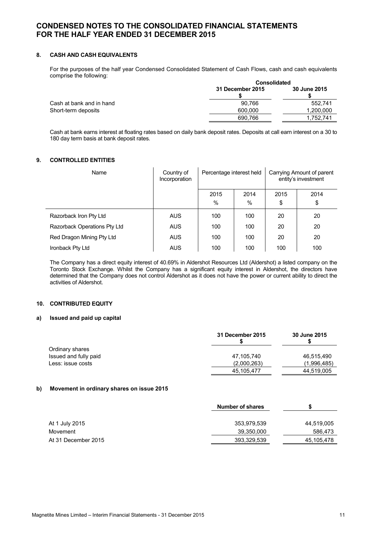### **8. CASH AND CASH EQUIVALENTS**

For the purposes of the half year Condensed Consolidated Statement of Cash Flows, cash and cash equivalents comprise the following:

|                          |                  | Consolidated |  |  |
|--------------------------|------------------|--------------|--|--|
|                          | 31 December 2015 | 30 June 2015 |  |  |
| Cash at bank and in hand | 90.766           | 552.741      |  |  |
| Short-term deposits      | 600,000          | 1.200.000    |  |  |
|                          | 690.766          | 1.752.741    |  |  |

Cash at bank earns interest at floating rates based on daily bank deposit rates. Deposits at call earn interest on a 30 to 180 day term basis at bank deposit rates.

# **9. CONTROLLED ENTITIES**

| Name                         | Country of<br>Incorporation | Percentage interest held |           | Carrying Amount of parent<br>entity's investment |            |
|------------------------------|-----------------------------|--------------------------|-----------|--------------------------------------------------|------------|
|                              |                             | 2015<br>%                | 2014<br>% | 2015<br>\$                                       | 2014<br>\$ |
| Razorback Iron Pty Ltd       | <b>AUS</b>                  | 100                      | 100       | 20                                               | 20         |
| Razorback Operations Pty Ltd | <b>AUS</b>                  | 100                      | 100       | 20                                               | 20         |
| Red Dragon Mining Pty Ltd    | <b>AUS</b>                  | 100                      | 100       | 20                                               | 20         |
| Ironback Pty Ltd             | <b>AUS</b>                  | 100                      | 100       | 100                                              | 100        |

The Company has a direct equity interest of 40.69% in Aldershot Resources Ltd (Aldershot) a listed company on the Toronto Stock Exchange. Whilst the Company has a significant equity interest in Aldershot, the directors have determined that the Company does not control Aldershot as it does not have the power or current ability to direct the activities of Aldershot.

#### **10. CONTRIBUTED EQUITY**

#### **a) Issued and paid up capital**

|                       | 31 December 2015 | 30 June 2015 |
|-----------------------|------------------|--------------|
| Ordinary shares       |                  |              |
| Issued and fully paid | 47.105.740       | 46,515,490   |
| Less: issue costs     | (2,000,263)      | (1,996,485)  |
|                       | 45,105,477       | 44,519,005   |

# **b) Movement in ordinary shares on issue 2015**

|                     | <b>Number of shares</b> |            |
|---------------------|-------------------------|------------|
|                     |                         |            |
| At 1 July 2015      | 353,979,539             | 44,519,005 |
| Movement            | 39,350,000              | 586,473    |
| At 31 December 2015 | 393,329,539             | 45,105,478 |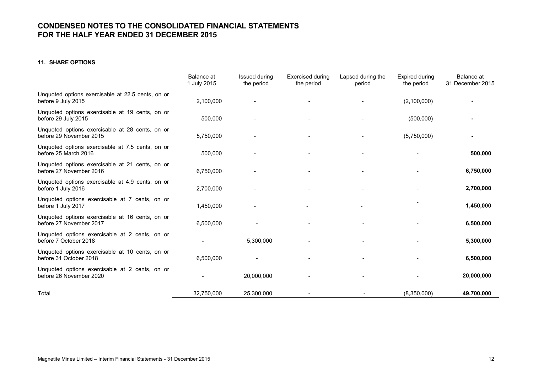# **11. SHARE OPTIONS**

|                                                                            | Balance at<br>1 July 2015 | <b>Issued during</b><br>the period | <b>Exercised during</b><br>the period | Lapsed during the<br>period | Expired during<br>the period | Balance at<br>31 December 2015 |
|----------------------------------------------------------------------------|---------------------------|------------------------------------|---------------------------------------|-----------------------------|------------------------------|--------------------------------|
| Unquoted options exercisable at 22.5 cents, on or<br>before 9 July 2015    | 2,100,000                 |                                    |                                       |                             | (2,100,000)                  |                                |
| Unquoted options exercisable at 19 cents, on or<br>before 29 July 2015     | 500,000                   |                                    |                                       |                             | (500,000)                    |                                |
| Unquoted options exercisable at 28 cents, on or<br>before 29 November 2015 | 5,750,000                 |                                    |                                       |                             | (5,750,000)                  |                                |
| Unquoted options exercisable at 7.5 cents, on or<br>before 25 March 2016   | 500,000                   |                                    |                                       |                             |                              | 500,000                        |
| Unquoted options exercisable at 21 cents, on or<br>before 27 November 2016 | 6,750,000                 |                                    |                                       |                             |                              | 6,750,000                      |
| Unquoted options exercisable at 4.9 cents, on or<br>before 1 July 2016     | 2,700,000                 |                                    |                                       |                             |                              | 2,700,000                      |
| Unquoted options exercisable at 7 cents, on or<br>before 1 July 2017       | 1,450,000                 |                                    |                                       |                             |                              | 1,450,000                      |
| Unquoted options exercisable at 16 cents, on or<br>before 27 November 2017 | 6,500,000                 |                                    |                                       |                             |                              | 6,500,000                      |
| Unquoted options exercisable at 2 cents, on or<br>before 7 October 2018    |                           | 5,300,000                          |                                       |                             |                              | 5,300,000                      |
| Unquoted options exercisable at 10 cents, on or<br>before 31 October 2018  | 6,500,000                 |                                    |                                       |                             |                              | 6,500,000                      |
| Unquoted options exercisable at 2 cents, on or<br>before 26 November 2020  |                           | 20,000,000                         |                                       |                             |                              | 20,000,000                     |
| Total                                                                      | 32,750,000                | 25,300,000                         |                                       |                             | (8,350,000)                  | 49,700,000                     |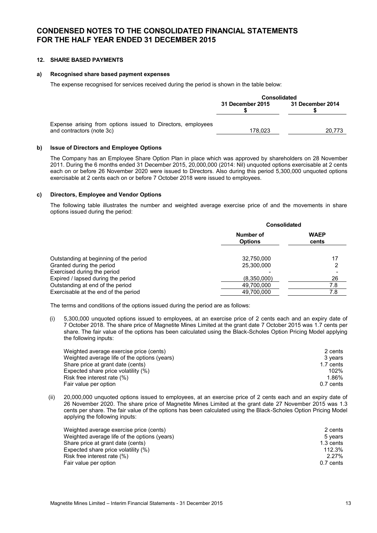# **12. SHARE BASED PAYMENTS**

### **a) Recognised share based payment expenses**

The expense recognised for services received during the period is shown in the table below:

|                                                                                          | <b>Consolidated</b> |                  |
|------------------------------------------------------------------------------------------|---------------------|------------------|
|                                                                                          | 31 December 2015    | 31 December 2014 |
| Expense arising from options issued to Directors, employees<br>and contractors (note 3c) | 178.023             | 20.773           |

#### **b) Issue of Directors and Employee Options**

The Company has an Employee Share Option Plan in place which was approved by shareholders on 28 November 2011. During the 6 months ended 31 December 2015, 20,000,000 (2014: Nil) unquoted options exercisable at 2 cents each on or before 26 November 2020 were issued to Directors. Also during this period 5,300,000 unquoted options exercisable at 2 cents each on or before 7 October 2018 were issued to employees.

#### **c) Directors, Employee and Vendor Options**

The following table illustrates the number and weighted average exercise price of and the movements in share options issued during the period:

|                                                                     | <b>Consolidated</b>         |                      |  |
|---------------------------------------------------------------------|-----------------------------|----------------------|--|
|                                                                     | Number of<br><b>Options</b> | <b>WAEP</b><br>cents |  |
| Outstanding at beginning of the period<br>Granted during the period | 32,750,000<br>25,300,000    | 17<br>2              |  |
| Exercised during the period                                         |                             |                      |  |
| Expired / lapsed during the period                                  | (8,350,000)                 | 26                   |  |
| Outstanding at end of the period                                    | 49,700,000                  | 7.8                  |  |
| Exercisable at the end of the period                                | 49,700,000                  | 7.8                  |  |

The terms and conditions of the options issued during the period are as follows:

(i) 5,300,000 unquoted options issued to employees, at an exercise price of 2 cents each and an expiry date of 7 October 2018. The share price of Magnetite Mines Limited at the grant date 7 October 2015 was 1.7 cents per share. The fair value of the options has been calculated using the Black-Scholes Option Pricing Model applying the following inputs:

| Weighted average exercise price (cents)      | 2 cents   |
|----------------------------------------------|-----------|
| Weighted average life of the options (years) | 3 vears   |
| Share price at grant date (cents)            | 1.7 cents |
| Expected share price volatility (%)          | 102%      |
| Risk free interest rate (%)                  | 1.86%     |
| Fair value per option                        | 0.7 cents |

(ii) 20,000,000 unquoted options issued to employees, at an exercise price of 2 cents each and an expiry date of 26 November 2020. The share price of Magnetite Mines Limited at the grant date 27 November 2015 was 1.3 cents per share. The fair value of the options has been calculated using the Black-Scholes Option Pricing Model applying the following inputs:

| Weighted average exercise price (cents)      | 2 cents   |
|----------------------------------------------|-----------|
| Weighted average life of the options (years) | 5 vears   |
| Share price at grant date (cents)            | 1.3 cents |
| Expected share price volatility (%)          | 112.3%    |
| Risk free interest rate (%)                  | $2.27\%$  |
| Fair value per option                        | 0.7 cents |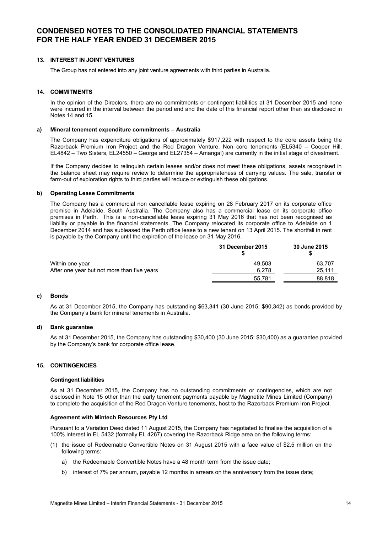# **13. INTEREST IN JOINT VENTURES**

The Group has not entered into any joint venture agreements with third parties in Australia.

### **14. COMMITMENTS**

In the opinion of the Directors, there are no commitments or contingent liabilities at 31 December 2015 and none were incurred in the interval between the period end and the date of this financial report other than as disclosed in Notes 14 and 15.

#### **a) Mineral tenement expenditure commitments – Australia**

The Company has expenditure obligations of approximately \$917,222 with respect to the core assets being the Razorback Premium Iron Project and the Red Dragon Venture. Non core tenements (EL5340 – Cooper Hill, EL4842 – Two Sisters, EL24550 – George and EL27354 – Amangal) are currently in the initial stage of divestment.

If the Company decides to relinquish certain leases and/or does not meet these obligations, assets recognised in the balance sheet may require review to determine the appropriateness of carrying values. The sale, transfer or farm-out of exploration rights to third parties will reduce or extinguish these obligations.

#### **b) Operating Lease Commitments**

The Company has a commercial non cancellable lease expiring on 28 February 2017 on its corporate office premise in Adelaide, South Australia. The Company also has a commercial lease on its corporate office premises in Perth. This is a non-cancellable lease expiring 31 May 2016 that has not been recognised as liability or payable in the financial statements. The Company relocated its corporate office to Adelaide on 1 December 2014 and has subleased the Perth office lease to a new tenant on 13 April 2015. The shortfall in rent is payable by the Company until the expiration of the lease on 31 May 2016.

|                                             | 31 December 2015 | 30 June 2015 |
|---------------------------------------------|------------------|--------------|
| Within one year                             | 49.503           | 63,707       |
| After one year but not more than five years | 6.278            | 25,111       |
|                                             | 55.781           | 88.818       |

### **c) Bonds**

As at 31 December 2015, the Company has outstanding \$63,341 (30 June 2015: \$90,342) as bonds provided by the Company's bank for mineral tenements in Australia.

### **d) Bank guarantee**

As at 31 December 2015, the Company has outstanding \$30,400 (30 June 2015: \$30,400) as a guarantee provided by the Company's bank for corporate office lease.

### **15. CONTINGENCIES**

#### **Contingent liabilities**

As at 31 December 2015, the Company has no outstanding commitments or contingencies, which are not disclosed in Note 15 other than the early tenement payments payable by Magnetite Mines Limited (Company) to complete the acquisition of the Red Dragon Venture tenements, host to the Razorback Premium Iron Project.

#### **Agreement with Mintech Resources Pty Ltd**

Pursuant to a Variation Deed dated 11 August 2015, the Company has negotiated to finalise the acquisition of a 100% interest in EL 5432 (formally EL 4267) covering the Razorback Ridge area on the following terms:

- (1) the issue of Redeemable Convertible Notes on 31 August 2015 with a face value of \$2.5 million on the following terms:
	- a) the Redeemable Convertible Notes have a 48 month term from the issue date;
	- b) interest of 7% per annum, payable 12 months in arrears on the anniversary from the issue date;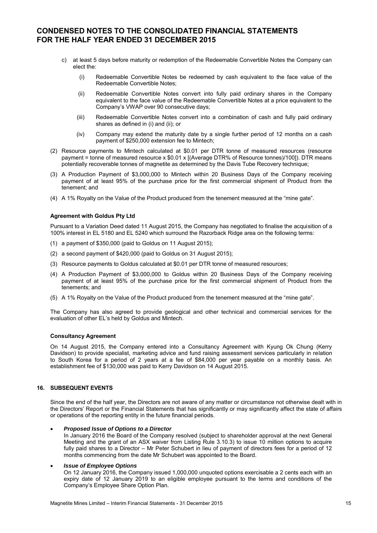- c) at least 5 days before maturity or redemption of the Redeemable Convertible Notes the Company can elect the:
	- (i) Redeemable Convertible Notes be redeemed by cash equivalent to the face value of the Redeemable Convertible Notes;
	- (ii) Redeemable Convertible Notes convert into fully paid ordinary shares in the Company equivalent to the face value of the Redeemable Convertible Notes at a price equivalent to the Company's VWAP over 90 consecutive days;
	- (iii) Redeemable Convertible Notes convert into a combination of cash and fully paid ordinary shares as defined in (i) and (ii); or
	- (iv) Company may extend the maturity date by a single further period of 12 months on a cash payment of \$250,000 extension fee to Mintech;
- (2) Resource payments to Mintech calculated at \$0.01 per DTR tonne of measured resources (resource payment = tonne of measured resource x \$0.01 x [(Average DTR% of Resource tonnes)/100]). DTR means potentially recoverable tonnes of magnetite as determined by the Davis Tube Recovery technique;
- (3) A Production Payment of \$3,000,000 to Mintech within 20 Business Days of the Company receiving payment of at least 95% of the purchase price for the first commercial shipment of Product from the tenement; and
- (4) A 1% Royalty on the Value of the Product produced from the tenement measured at the "mine gate".

#### **Agreement with Goldus Pty Ltd**

Pursuant to a Variation Deed dated 11 August 2015, the Company has negotiated to finalise the acquisition of a 100% interest in EL 5180 and EL 5240 which surround the Razorback Ridge area on the following terms:

- (1) a payment of \$350,000 (paid to Goldus on 11 August 2015);
- (2) a second payment of \$420,000 (paid to Goldus on 31 August 2015);
- (3) Resource payments to Goldus calculated at \$0.01 per DTR tonne of measured resources;
- (4) A Production Payment of \$3,000,000 to Goldus within 20 Business Days of the Company receiving payment of at least 95% of the purchase price for the first commercial shipment of Product from the tenements; and
- (5) A 1% Royalty on the Value of the Product produced from the tenement measured at the "mine gate".

The Company has also agreed to provide geological and other technical and commercial services for the evaluation of other EL's held by Goldus and Mintech.

### **Consultancy Agreement**

On 14 August 2015, the Company entered into a Consultancy Agreement with Kyung Ok Chung (Kerry Davidson) to provide specialist, marketing advice and fund raising assessment services particularly in relation to South Korea for a period of 2 years at a fee of \$84,000 per year payable on a monthly basis. An establishment fee of \$130,000 was paid to Kerry Davidson on 14 August 2015.

### **16. SUBSEQUENT EVENTS**

Since the end of the half year, the Directors are not aware of any matter or circumstance not otherwise dealt with in the Directors' Report or the Financial Statements that has significantly or may significantly affect the state of affairs or operations of the reporting entity in the future financial periods.

#### *Proposed Issue of Options to a Director*

In January 2016 the Board of the Company resolved (subject to shareholder approval at the next General Meeting and the grant of an ASX waiver from Listing Rule 3.10.3) to issue 10 million options to acquire fully paid shares to a Director – Mr Peter Schubert in lieu of payment of directors fees for a period of 12 months commencing from the date Mr Schubert was appointed to the Board.

#### *Issue of Employee Options*

On 12 January 2016, the Company issued 1,000,000 unquoted options exercisable a 2 cents each with an expiry date of 12 January 2019 to an eligible employee pursuant to the terms and conditions of the Company's Employee Share Option Plan.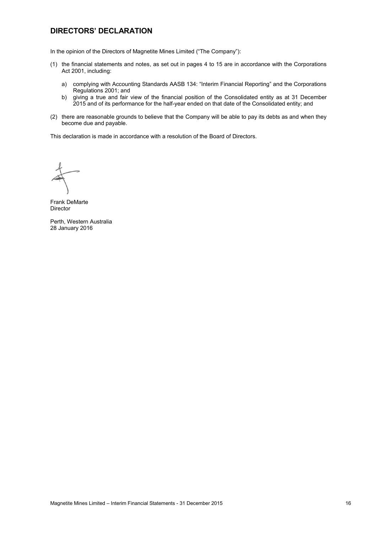# **DIRECTORS' DECLARATION**

In the opinion of the Directors of Magnetite Mines Limited ("The Company"):

- (1) the financial statements and notes, as set out in pages 4 to 15 are in accordance with the Corporations Act 2001, including:
	- a) complying with Accounting Standards AASB 134: "Interim Financial Reporting" and the Corporations Regulations 2001; and
	- b) giving a true and fair view of the financial position of the Consolidated entity as at 31 December 2015 and of its performance for the half-year ended on that date of the Consolidated entity; and
- (2) there are reasonable grounds to believe that the Company will be able to pay its debts as and when they become due and payable.

This declaration is made in accordance with a resolution of the Board of Directors.

Frank DeMarte Director

Perth, Western Australia 28 January 2016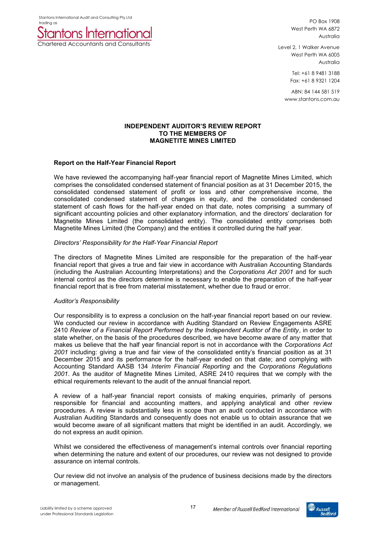Stantons International Audit and Consulting Pty Ltd



PO Box 1908 West Perth WA 6872 Australia

Level 2, 1 Walker Avenue West Perth WA 6005 Australia

> Tel: +61 8 9481 3188 Fax: +61 8 9321 1204

ABN: 84 144 581 519 www.stantons.com.au

# **INDEPENDENT AUDITOR'S REVIEW REPORT TO THE MEMBERS OF MAGNETITE MINES LIMITED**

# **Report on the Half-Year Financial Report**

We have reviewed the accompanying half-year financial report of Magnetite Mines Limited, which comprises the consolidated condensed statement of financial position as at 31 December 2015, the consolidated condensed statement of profit or loss and other comprehensive income, the consolidated condensed statement of changes in equity, and the consolidated condensed statement of cash flows for the half-year ended on that date, notes comprising a summary of significant accounting policies and other explanatory information, and the directors' declaration for Magnetite Mines Limited (the consolidated entity). The consolidated entity comprises both Magnetite Mines Limited (the Company) and the entities it controlled during the half year.

# *Directors' Responsibility for the Half-Year Financial Report*

The directors of Magnetite Mines Limited are responsible for the preparation of the half-year financial report that gives a true and fair view in accordance with Australian Accounting Standards (including the Australian Accounting Interpretations) and the *Corporations Act 2001* and for such internal control as the directors determine is necessary to enable the preparation of the half-year financial report that is free from material misstatement, whether due to fraud or error.

# *Auditor's Responsibility*

Our responsibility is to express a conclusion on the half-year financial report based on our review. We conducted our review in accordance with Auditing Standard on Review Engagements ASRE 2410 *Review of a Financial Report Performed by the Independent Auditor of the Entity*, in order to state whether, on the basis of the procedures described, we have become aware of any matter that makes us believe that the half year financial report is not in accordance with the *Corporations Act 2001* including: giving a true and fair view of the consolidated entity's financial position as at 31 December 2015 and its performance for the half-year ended on that date; and complying with Accounting Standard AASB 134 *Interim Financial Reporting* and the *Corporations Regulations 2001*. As the auditor of Magnetite Mines Limited, ASRE 2410 requires that we comply with the ethical requirements relevant to the audit of the annual financial report.

A review of a half-year financial report consists of making enquiries, primarily of persons responsible for financial and accounting matters, and applying analytical and other review procedures. A review is substantially less in scope than an audit conducted in accordance with Australian Auditing Standards and consequently does not enable us to obtain assurance that we would become aware of all significant matters that might be identified in an audit. Accordingly, we do not express an audit opinion.

Whilst we considered the effectiveness of management's internal controls over financial reporting when determining the nature and extent of our procedures, our review was not designed to provide assurance on internal controls.

Our review did not involve an analysis of the prudence of business decisions made by the directors or management.